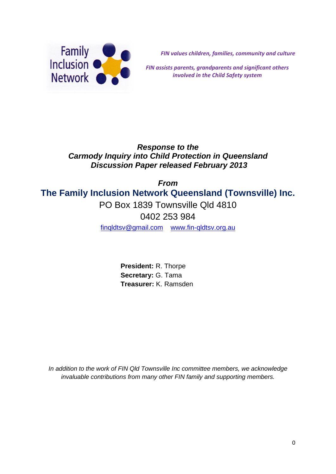

*FIN values children, families, community and culture*

*FIN assists parents, grandparents and significant others involved in the Child Safety system*

# *Response to the Carmody Inquiry into Child Protection in Queensland Discussion Paper released February 2013*

*From* **The Family Inclusion Network Queensland (Townsville) Inc.** PO Box 1839 Townsville Qld 4810 0402 253 984 [finqldtsv@gmail.com](mailto:finqldtsv@gmail.com) [www.fin-qldtsv.org.au](http://www.fin-qldtsv.org.au/)

> **President:** R. Thorpe **Secretary:** G. Tama **Treasurer:** K. Ramsden

*In addition to the work of FIN Qld Townsville Inc committee members, we acknowledge invaluable contributions from many other FIN family and supporting members.*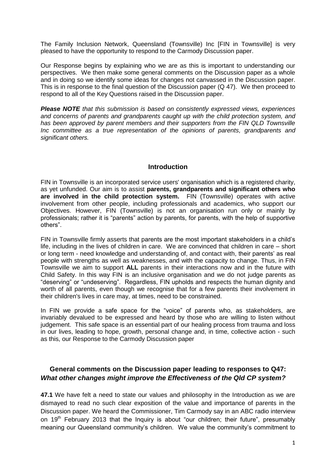The Family Inclusion Network, Queensland (Townsville) Inc [FIN in Townsville] is very pleased to have the opportunity to respond to the Carmody Discussion paper.

Our Response begins by explaining who we are as this is important to understanding our perspectives. We then make some general comments on the Discussion paper as a whole and in doing so we identify some ideas for changes not canvassed in the Discussion paper. This is in response to the final question of the Discussion paper (Q 47). We then proceed to respond to all of the Key Questions raised in the Discussion paper.

*Please NOTE that this submission is based on consistently expressed views, experiences and concerns of parents and grandparents caught up with the child protection system, and has been approved by parent members and their supporters from the FIN QLD Townsville Inc committee as a true representation of the opinions of parents, grandparents and significant others.*

#### **Introduction**

FIN in Townsville is an incorporated service users' organisation which is a registered charity, as yet unfunded. Our aim is to assist **parents, grandparents and significant others who are involved in the child protection system.** FIN (Townsville) operates with active involvement from other people, including professionals and academics, who support our Objectives. However, FIN (Townsville) is not an organisation run only or mainly by professionals; rather it is "parents" action by parents, for parents, with the help of supportive others".

FIN in Townsville firmly asserts that parents are the most important stakeholders in a child's life, including in the lives of children in care. We are convinced that children in care – short or long term - need knowledge and understanding of, and contact with, their parents' as real people with strengths as well as weaknesses, and with the capacity to change. Thus, in FIN Townsville we aim to support **ALL** parents in their interactions now and in the future with Child Safety. In this way FIN is an inclusive organisation and we do not judge parents as "deserving" or "undeserving". Regardless, FIN upholds and respects the human dignity and worth of all parents, even though we recognise that for a few parents their involvement in their children's lives in care may, at times, need to be constrained.

In FIN we provide a safe space for the "voice" of parents who, as stakeholders, are invariably devalued to be expressed and heard by those who are willing to listen without judgement. This safe space is an essential part of our healing process from trauma and loss in our lives, leading to hope, growth, personal change and, in time, collective action - such as this, our Response to the Carmody Discussion paper

#### **General comments on the Discussion paper leading to responses to Q47:** *What other changes might improve the Effectiveness of the Qld CP system?*

**47.1** We have felt a need to state our values and philosophy in the Introduction as we are dismayed to read no such clear exposition of the value and importance of parents in the Discussion paper. We heard the Commissioner, Tim Carmody say in an ABC radio interview on  $19<sup>th</sup>$  February 2013 that the Inquiry is about "our children; their future", presumably meaning our Queensland community's children. We value the community's commitment to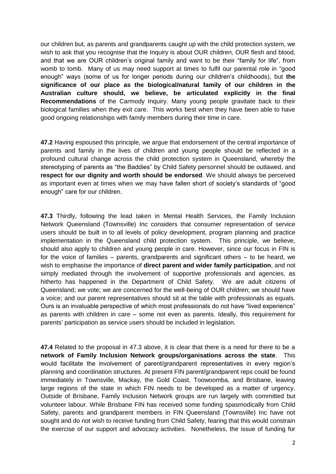our children but, as parents and grandparents caught up with the child protection system, we wish to ask that you recognise that the Inquiry is about OUR children, OUR flesh and blood, and that we are OUR children's original family and want to be their "family for life", from womb to tomb. Many of us may need support at times to fulfil our parental role in "good enough" ways (some of us for longer periods during our children's childhoods), but **the significance of our place as the biological/natural family of our children in the Australian culture should, we believe, be articulated explicitly in the final Recommendations** of the Carmody Inquiry. Many young people gravitate back to their biological families when they exit care. This works best when they have been able to have good ongoing relationships with family members during their time in care.

**47.2** Having espoused this principle, we argue that endorsement of the central importance of parents and family in the lives of children and young people should be reflected in a profound cultural change across the child protection system in Queensland, whereby the stereotyping of parents as "the Baddies" by Child Safety personnel should be outlawed, and **respect for our dignity and worth should be endorsed**. We should always be perceived as important even at times when we may have fallen short of society's standards of "good enough" care for our children.

**47.3** Thirdly, following the lead taken in Mental Health Services, the Family Inclusion Network Queensland (Townsville) Inc considers that consumer representation of service users should be built in to all levels of policy development, program planning and practice implementation in the Queensland child protection system. This principle, we believe, should also apply to children and young people in care. However, since our focus in FIN is for the voice of families  $-$  parents, grandparents and significant others  $-$  to be heard, we wish to emphasise the importance of **direct parent and wider family participation**, and not simply mediated through the involvement of supportive professionals and agencies, as hitherto has happened in the Department of Child Safety. We are adult citizens of Queensland; we vote; we are concerned for the well-being of OUR children; we should have a voice; and our parent representatives should sit at the table with professionals as equals. Ours is an invaluable perspective of which most professionals do not have "lived experience" as parents with children in care – some not even as parents. Ideally, this requirement for parents' participation as service users should be included in legislation.

**47.4** Related to the proposal in 47.3 above, it is clear that there is a need for there to be a **network of Family Inclusion Network groups/organisations across the state**. This would facilitate the involvement of parent/grandparent representatives in every region's planning and coordination structures. At present FIN parent/grandparent reps could be found immediately in Townsville, Mackay, the Gold Coast, Toowoomba, and Brisbane, leaving large regions of the state in which FIN needs to be developed as a matter of urgency. Outside of Brisbane, Family Inclusion Network groups are run largely with committed but volunteer labour. While Brisbane FIN has received some funding spasmodically from Child Safety, parents and grandparent members in FIN Queensland (Townsville) Inc have not sought and do not wish to receive funding from Child Safety, fearing that this would constrain the exercise of our support and advocacy activities. Nonetheless, the issue of funding for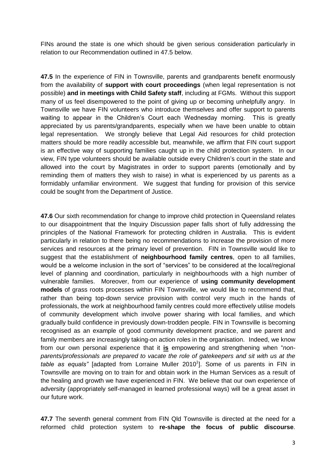FINs around the state is one which should be given serious consideration particularly in relation to our Recommendation outlined in 47.5 below.

**47.5** In the experience of FIN in Townsville, parents and grandparents benefit enormously from the availability of **support with court proceedings** (when legal representation is not possible) **and in meetings with Child Safety staff**, including at FGMs. Without this support many of us feel disempowered to the point of giving up or becoming unhelpfully angry. In Townsville we have FIN volunteers who introduce themselves and offer support to parents waiting to appear in the Children's Court each Wednesday morning. This is greatly appreciated by us parents/grandparents, especially when we have been unable to obtain legal representation. We strongly believe that Legal Aid resources for child protection matters should be more readily accessible but, meanwhile, we affirm that FIN court support is an effective way of supporting families caught up in the child protection system. In our view, FIN type volunteers should be available outside every Children's court in the state and allowed into the court by Magistrates in order to support parents (emotionally and by reminding them of matters they wish to raise) in what is experienced by us parents as a formidably unfamiliar environment. We suggest that funding for provision of this service could be sought from the Department of Justice.

**47.6** Our sixth recommendation for change to improve child protection in Queensland relates to our disappointment that the Inquiry Discussion paper falls short of fully addressing the principles of the National Framework for protecting children in Australia. This is evident particularly in relation to there being no recommendations to increase the provision of more services and resources at the primary level of prevention. FIN in Townsville would like to suggest that the establishment of **neighbourhood family centres**, open to all families, would be a welcome inclusion in the sort of "services" to be considered at the local/regional level of planning and coordination, particularly in neighbourhoods with a high number of vulnerable families. Moreover, from our experience of **using community development models** of grass roots processes within FIN Townsville, we would like to recommend that, rather than being top-down service provision with control very much in the hands of professionals, the work at neighbourhood family centres could more effectively utilise models of community development which involve power sharing with local families, and which gradually build confidence in previously down-trodden people. FIN in Townsville is becoming recognised as an example of good community development practice, and we parent and family members are increasingly taking-on action roles in the organisation. Indeed, we know from our own personal experience that it **is** empowering and strengthening when "*nonparents/professionals are prepared to vacate the role of gatekeepers and sit with us at the*  table as equals" [adapted from Lorraine Muller 2010<sup>1</sup>]. Some of us parents in FIN in Townsville are moving on to train for and obtain work in the Human Services as a result of the healing and growth we have experienced in FIN. We believe that our own experience of adversity (appropriately self-managed in learned professional ways) will be a great asset in our future work.

**47.7** The seventh general comment from FIN Qld Townsville is directed at the need for a reformed child protection system to **re-shape the focus of public discourse**.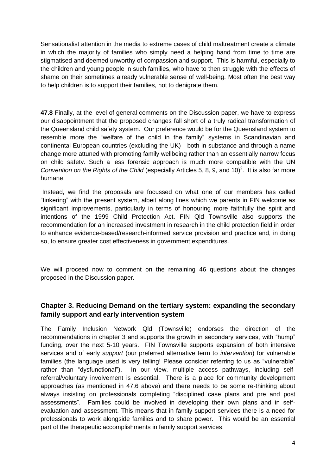Sensationalist attention in the media to extreme cases of child maltreatment create a climate in which the majority of families who simply need a helping hand from time to time are stigmatised and deemed unworthy of compassion and support. This is harmful, especially to the children and young people in such families, who have to then struggle with the effects of shame on their sometimes already vulnerable sense of well-being. Most often the best way to help children is to support their families, not to denigrate them.

**47.8** Finally, at the level of general comments on the Discussion paper, we have to express our disappointment that the proposed changes fall short of a truly radical transformation of the Queensland child safety system. Our preference would be for the Queensland system to resemble more the "welfare of the child in the family" systems in Scandinavian and continental European countries (excluding the UK) - both in substance and through a name change more attuned with promoting family wellbeing rather than an essentially narrow focus on child safety. Such a less forensic approach is much more compatible with the UN *Convention on the Rights of the Child* (especially Articles 5, 8, 9, and 10)<sup>2</sup>. It is also far more humane.

Instead, we find the proposals are focussed on what one of our members has called "tinkering" with the present system, albeit along lines which we parents in FIN welcome as significant improvements, particularly in terms of honouring more faithfully the spirit and intentions of the 1999 Child Protection Act. FIN Qld Townsville also supports the recommendation for an increased investment in research in the child protection field in order to enhance evidence-based/research-informed service provision and practice and, in doing so, to ensure greater cost effectiveness in government expenditures.

We will proceed now to comment on the remaining 46 questions about the changes proposed in the Discussion paper.

# **Chapter 3. Reducing Demand on the tertiary system: expanding the secondary family support and early intervention system**

The Family Inclusion Network Qld (Townsville) endorses the direction of the recommendations in chapter 3 and supports the growth in secondary services, with "hump" funding, over the next 5-10 years. FIN Townsville supports expansion of both intensive services and of early *support* (our preferred alternative term to *intervention*) for vulnerable families (the language used is very telling! Please consider referring to us as "vulnerable" rather than "dysfunctional"). In our view, multiple access pathways, including selfreferral/voluntary involvement is essential. There is a place for community development approaches (as mentioned in 47.6 above) and there needs to be some re-thinking about always insisting on professionals completing "disciplined case plans and pre and post assessments". Families could be involved in developing their own plans and in selfevaluation and assessment. This means that in family support services there is a need for professionals to work alongside families and to share power. This would be an essential part of the therapeutic accomplishments in family support services.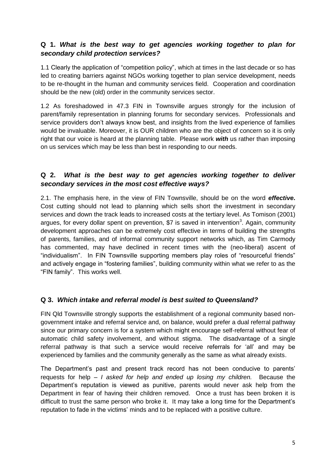### **Q 1.** *What is the best way to get agencies working together to plan for secondary child protection services?*

1.1 Clearly the application of "competition policy", which at times in the last decade or so has led to creating barriers against NGOs working together to plan service development, needs to be re-thought in the human and community services field. Cooperation and coordination should be the new (old) order in the community services sector.

1.2 As foreshadowed in 47.3 FIN in Townsville argues strongly for the inclusion of parent/family representation in planning forums for secondary services. Professionals and service providers don't always know best, and insights from the lived experience of families would be invaluable. Moreover, it is OUR children who are the object of concern so it is only right that our voice is heard at the planning table. Please work *with* us rather than imposing on us services which may be less than best in responding to our needs.

### **Q 2.** *What is the best way to get agencies working together to deliver secondary services in the most cost effective ways?*

2.1. The emphasis here, in the view of FIN Townsville, should be on the word *effective***.**  Cost cutting should not lead to planning which sells short the investment in secondary services and down the track leads to increased costs at the tertiary level. As Tomison (2001) argues, for every dollar spent on prevention, \$7 is saved in intervention<sup>3</sup>. Again, community development approaches can be extremely cost effective in terms of building the strengths of parents, families, and of informal community support networks which, as Tim Carmody has commented, may have declined in recent times with the (neo-liberal) ascent of "individualism". In FIN Townsville supporting members play roles of "resourceful friends" and actively engage in "fostering families", building community within what we refer to as the "FIN family". This works well.

#### **Q 3.** *Which intake and referral model is best suited to Queensland?*

FIN Qld Townsville strongly supports the establishment of a regional community based nongovernment intake and referral service and, on balance, would prefer a dual referral pathway since our primary concern is for a system which might encourage self-referral without fear of automatic child safety involvement, and without stigma. The disadvantage of a single referral pathway is that such a service would receive referrals for 'all' and may be experienced by families and the community generally as the same as what already exists.

The Department's past and present track record has not been conducive to parents' requests for help – *I asked for help and ended up losing my children.* Because the Department's reputation is viewed as punitive, parents would never ask help from the Department in fear of having their children removed. Once a trust has been broken it is difficult to trust the same person who broke it. It may take a long time for the Department's reputation to fade in the victims' minds and to be replaced with a positive culture.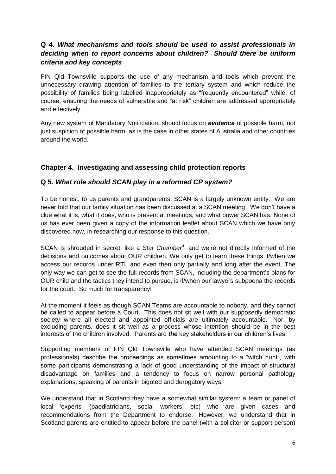## **Q 4.** *What mechanisms and tools should be used to assist professionals in deciding when to report concerns about children? Should there be uniform criteria and key concepts*

FIN Qld Townsville supports the use of any mechanism and tools which prevent the unnecessary drawing attention of families to the tertiary system and which reduce the possibility of families being labelled inappropriately as "frequently encountered" while, of course, ensuring the needs of vulnerable and "at risk" children are addressed appropriately and effectively.

Any new system of Mandatory Notification, should focus on *evidence* of possible harm, not just suspicion of possible harm, as is the case in other states of Australia and other countries around the world.

#### **Chapter 4. Investigating and assessing child protection reports**

#### **Q 5.** *What role should SCAN play in a reformed CP system?*

To be honest, to us parents and grandparents, SCAN is a largely unknown entity. We are never told that our family situation has been discussed at a SCAN meeting. We don't have a clue what it is, what it does, who is present at meetings, and what power SCAN has. None of us has ever been given a copy of the information leaflet about SCAN which we have only discovered now, in researching our response to this question.

SCAN is shrouded in secret, like a *Star Chamber<sup>4</sup>* , and we're not directly informed of the decisions and outcomes about OUR children. We only get to learn these things if/when we access our records under RTI, and even then only partially and long after the event. The only way we can get to see the full records from SCAN, including the department's plans for OUR child and the tactics they intend to pursue, is if/when our lawyers subpoena the records for the court. So much for transparency!

At the moment it feels as though SCAN Teams are accountable to nobody, and they cannot be called to appear before a Court. This does not sit well with our supposedly democratic society where all elected and appointed officials are ultimately accountable. Nor, by excluding parents, does it sit well as a process whose intention should be in the best interests of the children involved. Parents are *the* key stakeholders in our children's lives.

Supporting members of FIN Qld Townsville who have attended SCAN meetings (as professionals) describe the proceedings as sometimes amounting to a "witch hunt", with some participants demonstrating a lack of good understanding of the impact of structural disadvantage on families and a tendency to focus on narrow personal pathology explanations, speaking of parents in bigoted and derogatory ways.

We understand that in Scotland they have a somewhat similar system: a team or panel of local 'experts' (paediatricians, social workers, etc) who are given cases and recommendations from the Department to endorse. However, we understand that in Scotland parents are entitled to appear before the panel (with a solicitor or support person)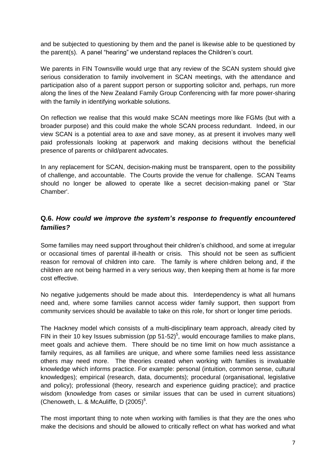and be subjected to questioning by them and the panel is likewise able to be questioned by the parent(s). A panel "hearing" we understand replaces the Children's court.

We parents in FIN Townsville would urge that any review of the SCAN system should give serious consideration to family involvement in SCAN meetings, with the attendance and participation also of a parent support person or supporting solicitor and, perhaps, run more along the lines of the New Zealand Family Group Conferencing with far more power-sharing with the family in identifying workable solutions.

On reflection we realise that this would make SCAN meetings more like FGMs (but with a broader purpose) and this could make the whole SCAN process redundant. Indeed, in our view SCAN is a potential area to axe and save money, as at present it involves many well paid professionals looking at paperwork and making decisions without the beneficial presence of parents or child/parent advocates.

In any replacement for SCAN, decision-making must be transparent, open to the possibility of challenge, and accountable. The Courts provide the venue for challenge. SCAN Teams should no longer be allowed to operate like a secret decision-making panel or 'Star Chamber'.

# **Q.6.** *How could we improve the system's response to frequently encountered families?*

Some families may need support throughout their children's childhood, and some at irregular or occasional times of parental ill-health or crisis. This should not be seen as sufficient reason for removal of children into care. The family is where children belong and, if the children are not being harmed in a very serious way, then keeping them at home is far more cost effective.

No negative judgements should be made about this. Interdependency is what all humans need and, where some families cannot access wider family support, then support from community services should be available to take on this role, for short or longer time periods.

The Hackney model which consists of a multi-disciplinary team approach, already cited by FIN in their 10 key Issues submission (pp  $51-52$ )<sup>5</sup>, would encourage families to make plans, meet goals and achieve them. There should be no time limit on how much assistance a family requires, as all families are unique, and where some families need less assistance others may need more. The theories created when working with families is invaluable knowledge which informs practice. For example: personal (intuition, common sense, cultural knowledges); empirical (research, data, documents); procedural (organisational, legislative and policy); professional (theory, research and experience guiding practice); and practice wisdom (knowledge from cases or similar issues that can be used in current situations) (Chenoweth, L. & McAuliffe, D $(2005)^6$ .

The most important thing to note when working with families is that they are the ones who make the decisions and should be allowed to critically reflect on what has worked and what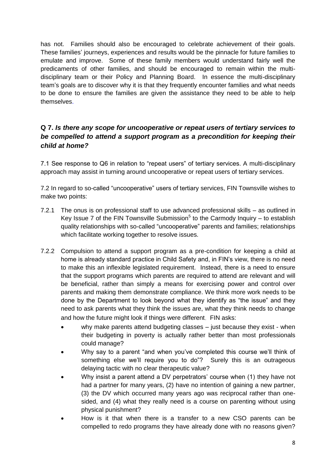has not. Families should also be encouraged to celebrate achievement of their goals. These families' journeys, experiences and results would be the pinnacle for future families to emulate and improve. Some of these family members would understand fairly well the predicaments of other families, and should be encouraged to remain within the multidisciplinary team or their Policy and Planning Board. In essence the multi-disciplinary team's goals are to discover why it is that they frequently encounter families and what needs to be done to ensure the families are given the assistance they need to be able to help themselves.

## **Q 7.** *Is there any scope for uncooperative or repeat users of tertiary services to be compelled to attend a support program as a precondition for keeping their child at home?*

7.1 See response to Q6 in relation to "repeat users" of tertiary services. A multi-disciplinary approach may assist in turning around uncooperative or repeat users of tertiary services.

7.2 In regard to so-called "uncooperative" users of tertiary services, FIN Townsville wishes to make two points:

- 7.2.1 The onus is on professional staff to use advanced professional skills as outlined in Key Issue 7 of the FIN Townsville Submission<sup>5</sup> to the Carmody Inquiry  $-$  to establish quality relationships with so-called "uncooperative" parents and families; relationships which facilitate working together to resolve issues.
- 7.2.2 Compulsion to attend a support program as a pre-condition for keeping a child at home is already standard practice in Child Safety and, in FIN's view, there is no need to make this an inflexible legislated requirement. Instead, there is a need to ensure that the support programs which parents are required to attend are relevant and will be beneficial, rather than simply a means for exercising power and control over parents and making them demonstrate compliance. We think more work needs to be done by the Department to look beyond what they identify as "the issue" and they need to ask parents what they think the issues are, what they think needs to change and how the future might look if things were different. FIN asks:
	- why make parents attend budgeting classes just because they exist when their budgeting in poverty is actually rather better than most professionals could manage?
	- Why say to a parent "and when you've completed this course we'll think of something else we'll require you to do"? Surely this is an outrageous delaying tactic with no clear therapeutic value?
	- Why insist a parent attend a DV perpetrators' course when (1) they have not had a partner for many years, (2) have no intention of gaining a new partner, (3) the DV which occurred many years ago was reciprocal rather than onesided, and (4) what they really need is a course on parenting without using physical punishment?
	- How is it that when there is a transfer to a new CSO parents can be compelled to redo programs they have already done with no reasons given?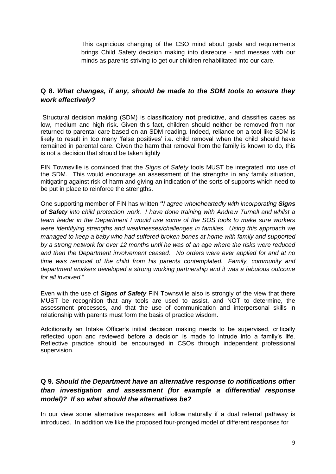This capricious changing of the CSO mind about goals and requirements brings Child Safety decision making into disrepute - and messes with our minds as parents striving to get our children rehabilitated into our care.

## **Q 8.** *What changes, if any, should be made to the SDM tools to ensure they work effectively?*

Structural decision making (SDM) is classificatory **not** predictive, and classifies cases as low, medium and high risk. Given this fact, children should neither be removed from nor returned to parental care based on an SDM reading. Indeed, reliance on a tool like SDM is likely to result in too many 'false positives' i.e. child removal when the child should have remained in parental care. Given the harm that removal from the family is known to do, this is not a decision that should be taken lightly

FIN Townsville is convinced that the *Signs of Safety* tools MUST be integrated into use of the SDM. This would encourage an assessment of the strengths in any family situation, mitigating against risk of harm and giving an indication of the sorts of supports which need to be put in place to reinforce the strengths.

One supporting member of FIN has written **"***I agree wholeheartedly with incorporating Signs of Safety into child protection work. I have done training with Andrew Turnell and whilst a team leader in the Department I would use some of the SOS tools to make sure workers were identifying strengths and weaknesses/challenges in families. Using this approach we managed to keep a baby who had suffered broken bones at home with family and supported by a strong network for over 12 months until he was of an age where the risks were reduced and then the Department involvement ceased. No orders were ever applied for and at no time was removal of the child from his parents contemplated. Family, community and department workers developed a strong working partnership and it was a fabulous outcome for all involved.*"

Even with the use of *Signs of Safety* FIN Townsville also is strongly of the view that there MUST be recognition that any tools are used to assist, and NOT to determine, the assessment processes, and that the use of communication and interpersonal skills in relationship with parents must form the basis of practice wisdom.

Additionally an Intake Officer's initial decision making needs to be supervised, critically reflected upon and reviewed before a decision is made to intrude into a family's life. Reflective practice should be encouraged in CSOs through independent professional supervision.

## **Q 9.** *Should the Department have an alternative response to notifications other than investigation and assessment (for example a differential response model)? If so what should the alternatives be?*

In our view some alternative responses will follow naturally if a dual referral pathway is introduced. In addition we like the proposed four-pronged model of different responses for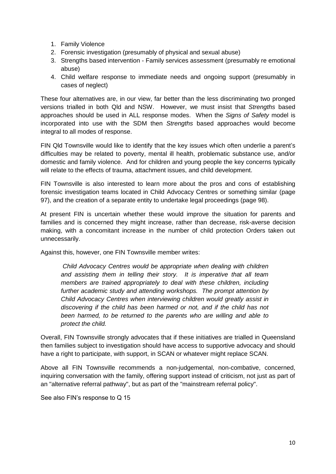- 1. Family Violence
- 2. Forensic investigation (presumably of physical and sexual abuse)
- 3. Strengths based intervention Family services assessment (presumably re emotional abuse)
- 4. Child welfare response to immediate needs and ongoing support (presumably in cases of neglect)

These four alternatives are, in our view, far better than the less discriminating two pronged versions trialled in both Qld and NSW. However, we must insist that *Strengths* based approaches should be used in ALL response modes. When the *Signs of Safety* model is incorporated into use with the SDM then *Strengths* based approaches would become integral to all modes of response.

FIN Qld Townsville would like to identify that the key issues which often underlie a parent's difficulties may be related to poverty, mental ill health, problematic substance use, and/or domestic and family violence. And for children and young people the key concerns typically will relate to the effects of trauma, attachment issues, and child development.

FIN Townsville is also interested to learn more about the pros and cons of establishing forensic investigation teams located in Child Advocacy Centres or something similar (page 97), and the creation of a separate entity to undertake legal proceedings (page 98).

At present FIN is uncertain whether these would improve the situation for parents and families and is concerned they might increase, rather than decrease, risk-averse decision making, with a concomitant increase in the number of child protection Orders taken out unnecessarily.

Against this, however, one FIN Townsville member writes:

*Child Advocacy Centres would be appropriate when dealing with children and assisting them in telling their story. It is imperative that all team members are trained appropriately to deal with these children, including further academic study and attending workshops. The prompt attention by Child Advocacy Centres when interviewing children would greatly assist in discovering if the child has been harmed or not, and if the child has not been harmed, to be returned to the parents who are willing and able to protect the child.*

Overall, FIN Townsville strongly advocates that if these initiatives are trialled in Queensland then families subject to investigation should have access to supportive advocacy and should have a right to participate, with support, in SCAN or whatever might replace SCAN.

Above all FIN Townsville recommends a non-judgemental, non-combative, concerned, inquiring conversation with the family, offering support instead of criticism, not just as part of an "alternative referral pathway", but as part of the "mainstream referral policy".

See also FIN's response to Q 15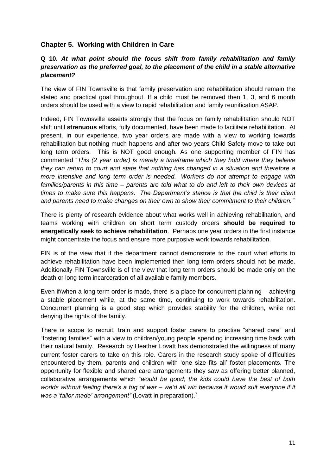#### **Chapter 5. Working with Children in Care**

#### **Q 10.** *At what point should the focus shift from family rehabilitation and family preservation as the preferred goal, to the placement of the child in a stable alternative placement?*

The view of FIN Townsville is that family preservation and rehabilitation should remain the stated and practical goal throughout. If a child must be removed then 1, 3, and 6 month orders should be used with a view to rapid rehabilitation and family reunification ASAP.

Indeed, FIN Townsville asserts strongly that the focus on family rehabilitation should NOT shift until **strenuous** efforts, fully documented, have been made to facilitate rehabilitation. At present, in our experience, two year orders are made with a view to working towards rehabilitation but nothing much happens and after two years Child Safety move to take out long term orders. This is NOT good enough. As one supporting member of FIN has commented "*This (2 year order) is merely a timeframe which they hold where they believe they can return to court and state that nothing has changed in a situation and therefore a more intensive and long term order is needed. Workers do not attempt to engage with families/parents in this time – parents are told what to do and left to their own devices at times to make sure this happens. The Department's stance is that the child is their client and parents need to make changes on their own to show their commitment to their children."*

There is plenty of research evidence about what works well in achieving rehabilitation, and teams working with children on short term custody orders **should be required to energetically seek to achieve rehabilitation**. Perhaps one year orders in the first instance might concentrate the focus and ensure more purposive work towards rehabilitation.

FIN is of the view that if the department cannot demonstrate to the court what efforts to achieve rehabilitation have been implemented then long term orders should not be made. Additionally FIN Townsville is of the view that long term orders should be made only on the death or long term incarceration of all available family members.

Even if/when a long term order is made, there is a place for concurrent planning – achieving a stable placement while, at the same time, continuing to work towards rehabilitation. Concurrent planning is a good step which provides stability for the children, while not denying the rights of the family.

There is scope to recruit, train and support foster carers to practise "shared care" and "fostering families" with a view to children/young people spending increasing time back with their natural family. Research by Heather Lovatt has demonstrated the willingness of many current foster carers to take on this role. Carers in the research study spoke of difficulties encountered by them, parents and children with 'one size fits all' foster placements. The opportunity for flexible and shared care arrangements they saw as offering better planned, collaborative arrangements which "*would be good; the kids could have the best of both worlds without feeling there's a tug of war – we'd all win because it would suit everyone if it*  was a 'tailor made' arrangement" (Lovatt in preparation).<sup>7</sup>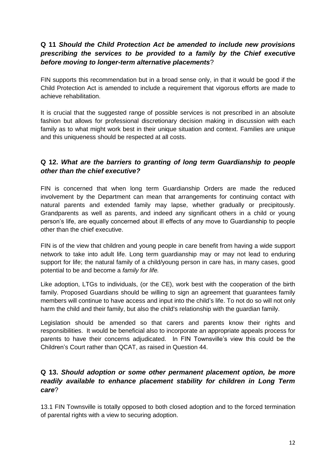# **Q 11** *Should the Child Protection Act be amended to include new provisions prescribing the services to be provided to a family by the Chief executive before moving to longer-term alternative placements*?

FIN supports this recommendation but in a broad sense only, in that it would be good if the Child Protection Act is amended to include a requirement that vigorous efforts are made to achieve rehabilitation.

It is crucial that the suggested range of possible services is not prescribed in an absolute fashion but allows for professional discretionary decision making in discussion with each family as to what might work best in their unique situation and context. Families are unique and this uniqueness should be respected at all costs.

# **Q 12.** *What are the barriers to granting of long term Guardianship to people other than the chief executive?*

FIN is concerned that when long term Guardianship Orders are made the reduced involvement by the Department can mean that arrangements for continuing contact with natural parents and extended family may lapse, whether gradually or precipitously. Grandparents as well as parents, and indeed any significant others in a child or young person's life, are equally concerned about ill effects of any move to Guardianship to people other than the chief executive.

FIN is of the view that children and young people in care benefit from having a wide support network to take into adult life. Long term guardianship may or may not lead to enduring support for life; the natural family of a child/young person in care has, in many cases, good potential to be and become a *family for life.*

Like adoption, LTGs to individuals, (or the CE), work best with the cooperation of the birth family. Proposed Guardians should be willing to sign an agreement that guarantees family members will continue to have access and input into the child's life. To not do so will not only harm the child and their family, but also the child's relationship with the guardian family.

Legislation should be amended so that carers and parents know their rights and responsibilities. It would be beneficial also to incorporate an appropriate appeals process for parents to have their concerns adjudicated. In FIN Townsville's view this could be the Children's Court rather than QCAT, as raised in Question 44.

## **Q 13.** *Should adoption or some other permanent placement option, be more readily available to enhance placement stability for children in Long Term care*?

13.1 FIN Townsville is totally opposed to both closed adoption and to the forced termination of parental rights with a view to securing adoption.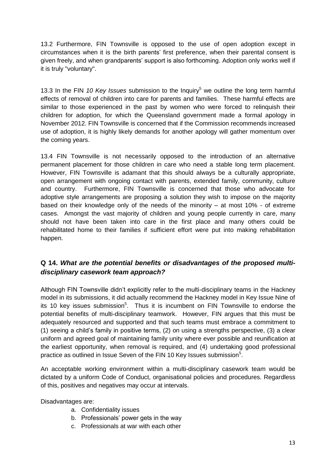13.2 Furthermore, FIN Townsville is opposed to the use of open adoption except in circumstances when it is the birth parents' first preference, when their parental consent is given freely, and when grandparents' support is also forthcoming. Adoption only works well if it is truly "voluntary".

13.3 In the FIN *10 Key Issues* submission to the Inquiry<sup>5</sup> we outline the long term harmful effects of removal of children into care for parents and families. These harmful effects are similar to those experienced in the past by women who were forced to relinquish their children for adoption, for which the Queensland government made a formal apology in November 2012. FIN Townsville is concerned that if the Commission recommends increased use of adoption, it is highly likely demands for another apology will gather momentum over the coming years.

13.4 FIN Townsville is not necessarily opposed to the introduction of an alternative permanent placement for those children in care who need a stable long term placement. However, FIN Townsville is adamant that this should always be a culturally appropriate, open arrangement with ongoing contact with parents, extended family, community, culture and country. Furthermore, FIN Townsville is concerned that those who advocate for adoptive style arrangements are proposing a solution they wish to impose on the majority based on their knowledge only of the needs of the minority – at most 10% - of extreme cases. Amongst the vast majority of children and young people currently in care, many should not have been taken into care in the first place and many others could be rehabilitated home to their families if sufficient effort were put into making rehabilitation happen.

# **Q 14.** *What are the potential benefits or disadvantages of the proposed multidisciplinary casework team approach?*

Although FIN Townsville didn't explicitly refer to the multi-disciplinary teams in the Hackney model in its submissions, it did actually recommend the Hackney model in Key Issue Nine of its 10 key issues submission<sup>5</sup>. Thus it is incumbent on FIN Townsville to endorse the potential benefits of multi-disciplinary teamwork. However, FIN argues that this must be adequately resourced and supported and that such teams must embrace a commitment to (1) seeing a child's family in positive terms, (2) on using a strengths perspective, (3) a clear uniform and agreed goal of maintaining family unity where ever possible and reunification at the earliest opportunity, when removal is required, and (4) undertaking good professional practice as outlined in Issue Seven of the FIN 10 Key Issues submission $5$ .

An acceptable working environment within a multi-disciplinary casework team would be dictated by a uniform Code of Conduct, organisational policies and procedures. Regardless of this, positives and negatives may occur at intervals.

Disadvantages are:

- a. Confidentiality issues
- b. Professionals' power gets in the way
- c. Professionals at war with each other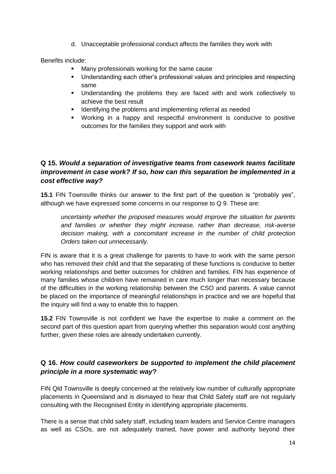d. Unacceptable professional conduct affects the families they work with

Benefits include:

- Many professionals working for the same cause
- Understanding each other's professional values and principles and respecting same
- Understanding the problems they are faced with and work collectively to achieve the best result
- **If Identifying the problems and implementing referral as needed**
- Working in a happy and respectful environment is conducive to positive outcomes for the families they support and work with

# **Q 15.** *Would a separation of investigative teams from casework teams facilitate improvement in case work? If so, how can this separation be implemented in a cost effective way?*

**15.1** FIN Townsville thinks our answer to the first part of the question is "probably yes", although we have expressed some concerns in our response to Q 9. These are:

*uncertainty whether the proposed measures would improve the situation for parents and families or whether they might increase, rather than decrease, risk-averse decision making, with a concomitant increase in the number of child protection Orders taken out unnecessarily.*

FIN is aware that it is a great challenge for parents to have to work with the same person who has removed their child and that the separating of these functions is conducive to better working relationships and better outcomes for children and families. FIN has experience of many families whose children have remained in care much longer than necessary because of the difficulties in the working relationship between the CSO and parents. A value cannot be placed on the importance of meaningful relationships in practice and we are hopeful that the inquiry will find a way to enable this to happen.

**15.2** FIN Townsville is not confident we have the expertise to make a comment on the second part of this question apart from querying whether this separation would cost anything further, given these roles are already undertaken currently.

# **Q 16.** *How could caseworkers be supported to implement the child placement principle in a more systematic way***?**

FIN Qld Townsville is deeply concerned at the relatively low number of culturally appropriate placements in Queensland and is dismayed to hear that Child Safety staff are not regularly consulting with the Recognised Entity in identifying appropriate placements.

There is a sense that child safety staff, including team leaders and Service Centre managers as well as CSOs, are not adequately trained, have power and authority beyond their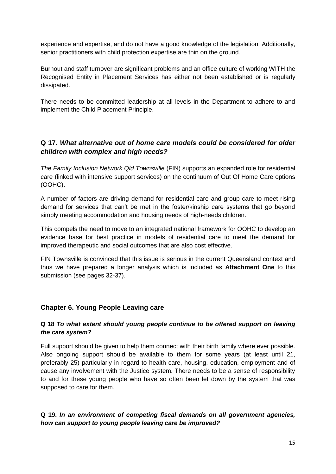experience and expertise, and do not have a good knowledge of the legislation. Additionally, senior practitioners with child protection expertise are thin on the ground.

Burnout and staff turnover are significant problems and an office culture of working WITH the Recognised Entity in Placement Services has either not been established or is regularly dissipated.

There needs to be committed leadership at all levels in the Department to adhere to and implement the Child Placement Principle.

# **Q 17.** *What alternative out of home care models could be considered for older children with complex and high needs?*

*The Family Inclusion Network Qld Townsville* (FIN) supports an expanded role for residential care (linked with intensive support services) on the continuum of Out Of Home Care options (OOHC).

A number of factors are driving demand for residential care and group care to meet rising demand for services that can't be met in the foster/kinship care systems that go beyond simply meeting accommodation and housing needs of high-needs children.

This compels the need to move to an integrated national framework for OOHC to develop an evidence base for best practice in models of residential care to meet the demand for improved therapeutic and social outcomes that are also cost effective.

FIN Townsville is convinced that this issue is serious in the current Queensland context and thus we have prepared a longer analysis which is included as **Attachment One** to this submission (see pages 32-37).

#### **Chapter 6. Young People Leaving care**

#### **Q 18** *To what extent should young people continue to be offered support on leaving the care system?*

Full support should be given to help them connect with their birth family where ever possible. Also ongoing support should be available to them for some years (at least until 21, preferably 25) particularly in regard to health care, housing, education, employment and of cause any involvement with the Justice system. There needs to be a sense of responsibility to and for these young people who have so often been let down by the system that was supposed to care for them.

#### **Q 19.** *In an environment of competing fiscal demands on all government agencies, how can support to young people leaving care be improved?*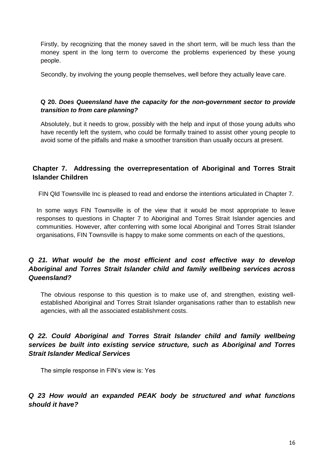Firstly, by recognizing that the money saved in the short term, will be much less than the money spent in the long term to overcome the problems experienced by these young people.

Secondly, by involving the young people themselves, well before they actually leave care.

#### **Q 20.** *Does Queensland have the capacity for the non-government sector to provide transition to from care planning?*

Absolutely, but it needs to grow, possibly with the help and input of those young adults who have recently left the system, who could be formally trained to assist other young people to avoid some of the pitfalls and make a smoother transition than usually occurs at present.

# **Chapter 7. Addressing the overrepresentation of Aboriginal and Torres Strait Islander Children**

FIN Qld Townsville Inc is pleased to read and endorse the intentions articulated in Chapter 7.

In some ways FIN Townsville is of the view that it would be most appropriate to leave responses to questions in Chapter 7 to Aboriginal and Torres Strait Islander agencies and communities. However, after conferring with some local Aboriginal and Torres Strait Islander organisations, FIN Townsville is happy to make some comments on each of the questions,

# *Q 21. What would be the most efficient and cost effective way to develop Aboriginal and Torres Strait Islander child and family wellbeing services across Queensland?*

The obvious response to this question is to make use of, and strengthen, existing wellestablished Aboriginal and Torres Strait Islander organisations rather than to establish new agencies, with all the associated establishment costs.

# *Q 22. Could Aboriginal and Torres Strait Islander child and family wellbeing services be built into existing service structure, such as Aboriginal and Torres Strait Islander Medical Services*

The simple response in FIN's view is: Yes

#### *Q 23 How would an expanded PEAK body be structured and what functions should it have?*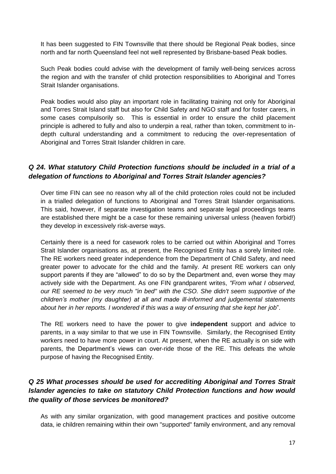It has been suggested to FIN Townsville that there should be Regional Peak bodies, since north and far north Queensland feel not well represented by Brisbane-based Peak bodies.

Such Peak bodies could advise with the development of family well-being services across the region and with the transfer of child protection responsibilities to Aboriginal and Torres Strait Islander organisations.

Peak bodies would also play an important role in facilitating training not only for Aboriginal and Torres Strait Island staff but also for Child Safety and NGO staff and for foster carers, in some cases compulsorily so. This is essential in order to ensure the child placement principle is adhered to fully and also to underpin a real, rather than token, commitment to indepth cultural understanding and a commitment to reducing the over-representation of Aboriginal and Torres Strait Islander children in care.

#### *Q 24. What statutory Child Protection functions should be included in a trial of a delegation of functions to Aboriginal and Torres Strait Islander agencies?*

Over time FIN can see no reason why all of the child protection roles could not be included in a trialled delegation of functions to Aboriginal and Torres Strait Islander organisations. This said, however, if separate investigation teams and separate legal proceedings teams are established there might be a case for these remaining universal unless (heaven forbid!) they develop in excessively risk-averse ways.

Certainly there is a need for casework roles to be carried out within Aboriginal and Torres Strait Islander organisations as, at present, the Recognised Entity has a sorely limited role. The RE workers need greater independence from the Department of Child Safety, and need greater power to advocate for the child and the family. At present RE workers can only support parents if they are "allowed" to do so by the Department and, even worse they may actively side with the Department. As one FIN grandparent writes, *"From what I observed, our RE seemed to be very much "in bed" with the CSO. She didn't seem supportive of the children's mother (my daughter) at all and made ill-informed and judgemental statements about her in her reports. I wondered if this was a way of ensuring that she kept her job*".

The RE workers need to have the power to give **independent** support and advice to parents, in a way similar to that we use in FIN Townsville. Similarly, the Recognised Entity workers need to have more power in court. At present, when the RE actually is on side with parents, the Department's views can over-ride those of the RE. This defeats the whole purpose of having the Recognised Entity.

# *Q 25 What processes should be used for accrediting Aboriginal and Torres Strait Islander agencies to take on statutory Child Protection functions and how would the quality of those services be monitored?*

As with any similar organization, with good management practices and positive outcome data, ie children remaining within their own "supported" family environment, and any removal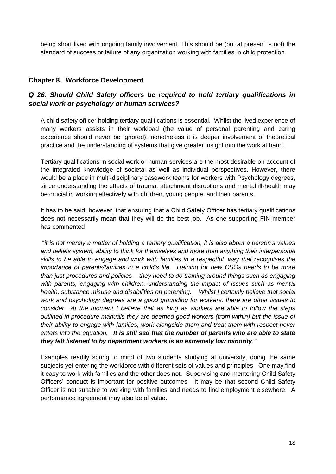being short lived with ongoing family involvement. This should be (but at present is not) the standard of success or failure of any organization working with families in child protection.

#### **Chapter 8. Workforce Development**

#### *Q 26. Should Child Safety officers be required to hold tertiary qualifications in social work or psychology or human services?*

A child safety officer holding tertiary qualifications is essential. Whilst the lived experience of many workers assists in their workload (the value of personal parenting and caring experience should never be ignored), nonetheless it is deeper involvement of theoretical practice and the understanding of systems that give greater insight into the work at hand.

Tertiary qualifications in social work or human services are the most desirable on account of the integrated knowledge of societal as well as individual perspectives. However, there would be a place in multi-disciplinary casework teams for workers with Psychology degrees, since understanding the effects of trauma, attachment disruptions and mental ill-health may be crucial in working effectively with children, young people, and their parents.

It has to be said, however, that ensuring that a Child Safety Officer has tertiary qualifications does not necessarily mean that they will do the best job. As one supporting FIN member has commented

"*it is not merely a matter of holding a tertiary qualification, it is also about a person's values and beliefs system, ability to think for themselves and more than anything their interpersonal skills to be able to engage and work with families in a respectful way that recognises the importance of parents/families in a child's life. Training for new CSOs needs to be more than just procedures and policies – they need to do training around things such as engaging with parents, engaging with children, understanding the impact of issues such as mental health, substance misuse and disabilities on parenting. Whilst I certainly believe that social work and psychology degrees are a good grounding for workers, there are other issues to consider. At the moment I believe that as long as workers are able to follow the steps outlined in procedure manuals they are deemed good workers (from within) but the issue of their ability to engage with families, work alongside them and treat them with respect never enters into the equation. It is still sad that the number of parents who are able to state they felt listened to by department workers is an extremely low minority."*

Examples readily spring to mind of two students studying at university, doing the same subjects yet entering the workforce with different sets of values and principles. One may find it easy to work with families and the other does not. Supervising and mentoring Child Safety Officers' conduct is important for positive outcomes. It may be that second Child Safety Officer is not suitable to working with families and needs to find employment elsewhere. A performance agreement may also be of value.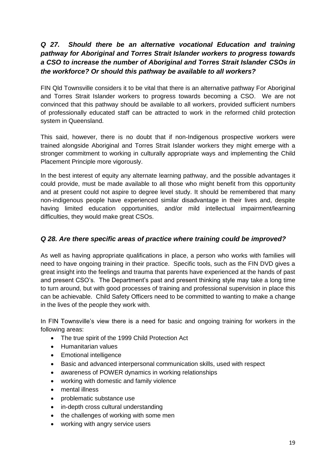# *Q 27. Should there be an alternative vocational Education and training pathway for Aboriginal and Torres Strait Islander workers to progress towards a CSO to increase the number of Aboriginal and Torres Strait Islander CSOs in the workforce? Or should this pathway be available to all workers?*

FIN Qld Townsville considers it to be vital that there is an alternative pathway For Aboriginal and Torres Strait Islander workers to progress towards becoming a CSO. We are not convinced that this pathway should be available to all workers, provided sufficient numbers of professionally educated staff can be attracted to work in the reformed child protection system in Queensland.

This said, however, there is no doubt that if non-Indigenous prospective workers were trained alongside Aboriginal and Torres Strait Islander workers they might emerge with a stronger commitment to working in culturally appropriate ways and implementing the Child Placement Principle more vigorously.

In the best interest of equity any alternate learning pathway, and the possible advantages it could provide, must be made available to all those who might benefit from this opportunity and at present could not aspire to degree level study. It should be remembered that many non-indigenous people have experienced similar disadvantage in their lives and, despite having limited education opportunities, and/or mild intellectual impairment/learning difficulties, they would make great CSOs.

#### *Q 28. Are there specific areas of practice where training could be improved?*

As well as having appropriate qualifications in place, a person who works with families will need to have ongoing training in their practice. Specific tools, such as the FIN DVD gives a great insight into the feelings and trauma that parents have experienced at the hands of past and present CSO's. The Department's past and present thinking style may take a long time to turn around, but with good processes of training and professional supervision in place this can be achievable. Child Safety Officers need to be committed to wanting to make a change in the lives of the people they work with.

In FIN Townsville's view there is a need for basic and ongoing training for workers in the following areas:

- The true spirit of the 1999 Child Protection Act
- Humanitarian values
- Emotional intelligence
- Basic and advanced interpersonal communication skills, used with respect
- awareness of POWER dynamics in working relationships
- working with domestic and family violence
- mental illness
- problematic substance use
- in-depth cross cultural understanding
- the challenges of working with some men
- working with angry service users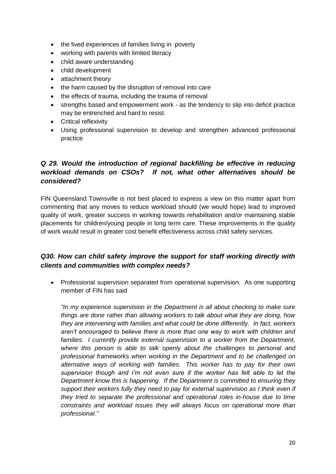- the lived experiences of families living in poverty
- working with parents with limited literacy
- child aware understanding
- child development
- attachment theory
- the harm caused by the disruption of removal into care
- the effects of trauma, including the trauma of removal
- strengths based and empowerment work as the tendency to slip into deficit practice may be entrenched and hard to resist.
- Critical reflexivity
- Using professional supervision to develop and strengthen advanced professional practice

# *Q 29. Would the introduction of regional backfilling be effective in reducing workload demands on CSOs? If not, what other alternatives should be considered?*

FIN Queensland Townsville is not best placed to express a view on this matter apart from commenting that any moves to reduce workload should (we would hope) lead to improved quality of work, greater success in working towards rehabilitation and/or maintaining stable placements for children/young people in long term care. These improvements in the quality of work would result in greater cost benefit effectiveness across child safety services.

# *Q30. How can child safety improve the support for staff working directly with clients and communities with complex needs?*

 Professional supervision separated from operational supervision. As one supporting member of FIN has said

*"In my experience supervision in the Department is all about checking to make sure things are done rather than allowing workers to talk about what they are doing, how they are intervening with families and what could be done differently. In fact, workers aren't encouraged to believe there is more than one way to work with children and families. I currently provide external supervision to a worker from the Department, where this person is able to talk openly about the challenges to personal and professional frameworks when working in the Department and to be challenged on alternative ways of working with families. This worker has to pay for their own supervision though and I'm not even sure if the worker has felt able to let the Department know this is happening. If the Department is committed to ensuring they support their workers fully they need to pay for external supervision as I think even if they tried to separate the professional and operational roles in-house due to time constraints and workload issues they will always focus on operational more than professional."*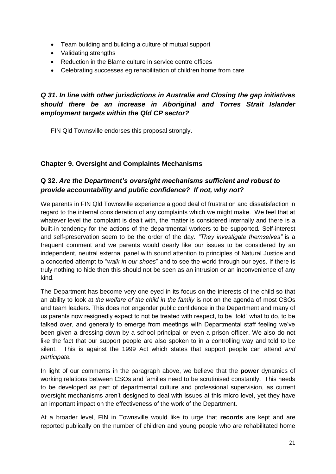- Team building and building a culture of mutual support
- Validating strengths
- Reduction in the Blame culture in service centre offices
- Celebrating successes eg rehabilitation of children home from care

# *Q 31. In line with other jurisdictions in Australia and Closing the gap initiatives should there be an increase in Aboriginal and Torres Strait Islander employment targets within the Qld CP sector?*

FIN Qld Townsville endorses this proposal strongly.

#### **Chapter 9. Oversight and Complaints Mechanisms**

### **Q 32.** *Are the Department's oversight mechanisms sufficient and robust to provide accountability and public confidence? If not, why not?*

We parents in FIN Qld Townsville experience a good deal of frustration and dissatisfaction in regard to the internal consideration of any complaints which we might make. We feel that at whatever level the complaint is dealt with, the matter is considered internally and there is a built-in tendency for the actions of the departmental workers to be supported*.* Self-interest and self-preservation seem to be the order of the day. *"They investigate themselves"* is a frequent comment and we parents would dearly like our issues to be considered by an independent, neutral external panel with sound attention to principles of Natural Justice and a concerted attempt to "*walk in our shoes*" and to see the world through our eyes. If there is truly nothing to hide then this should not be seen as an intrusion or an inconvenience of any kind.

The Department has become very one eyed in its focus on the interests of the child so that an ability to look at *the welfare of the child in the family* is not on the agenda of most CSOs and team leaders. This does not engender public confidence in the Department and many of us parents now resignedly expect to not be treated with respect, to be "told" what to do, to be talked over, and generally to emerge from meetings with Departmental staff feeling we've been given a dressing down by a school principal or even a prison officer. We also do not like the fact that our support people are also spoken to in a controlling way and told to be silent. This is against the 1999 Act which states that support people can attend *and participate.*

In light of our comments in the paragraph above, we believe that the **power** dynamics of working relations between CSOs and families need to be scrutinised constantly. This needs to be developed as part of departmental culture and professional supervision, as current oversight mechanisms aren't designed to deal with issues at this micro level, yet they have an important impact on the effectiveness of the work of the Department.

At a broader level, FIN in Townsville would like to urge that **records** are kept and are reported publically on the number of children and young people who are rehabilitated home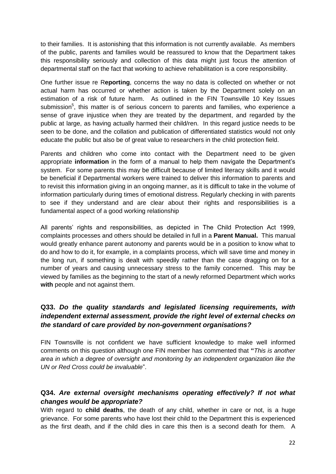to their families. It is astonishing that this information is not currently available. As members of the public, parents and families would be reassured to know that the Department takes this responsibility seriously and collection of this data might just focus the attention of departmental staff on the fact that working to achieve rehabilitation is a core responsibility.

One further issue re R**eporting**, concerns the way no data is collected on whether or not actual harm has occurred or whether action is taken by the Department solely on an estimation of a risk of future harm. As outlined in the FIN Townsville 10 Key Issues submission<sup>5</sup>, this matter is of serious concern to parents and families, who experience a sense of grave injustice when they are treated by the department, and regarded by the public at large, as having actually harmed their child/ren. In this regard justice needs to be seen to be done, and the collation and publication of differentiated statistics would not only educate the public but also be of great value to researchers in the child protection field.

Parents and children who come into contact with the Department need to be given appropriate **information** in the form of a manual to help them navigate the Department's system. For some parents this may be difficult because of limited literacy skills and it would be beneficial if Departmental workers were trained to deliver this information to parents and to revisit this information giving in an ongoing manner, as it is difficult to take in the volume of information particularly during times of emotional distress. Regularly checking in with parents to see if they understand and are clear about their rights and responsibilities is a fundamental aspect of a good working relationship

All parents' rights and responsibilities, as depicted in The Child Protection Act 1999, complaints processes and others should be detailed in full in a **Parent Manual.** This manual would greatly enhance parent autonomy and parents would be in a position to know what to do and how to do it, for example, in a complaints process, which will save time and money in the long run, if something is dealt with speedily rather than the case dragging on for a number of years and causing unnecessary stress to the family concerned. This may be viewed by families as the beginning to the start of a newly reformed Department which works **with** people and not against them.

## **Q33.** *Do the quality standards and legislated licensing requirements, with independent external assessment, provide the right level of external checks on the standard of care provided by non-government organisations?*

FIN Townsville is not confident we have sufficient knowledge to make well informed comments on this question although one FIN member has commented that **"***This is another area in which a degree of oversight and monitoring by an independent organization like the UN or Red Cross could be invaluable*".

# **Q34.** *Are external oversight mechanisms operating effectively? If not what changes would be appropriate?*

With regard to **child deaths**, the death of any child, whether in care or not, is a huge grievance. For some parents who have lost their child to the Department this is experienced as the first death, and if the child dies in care this then is a second death for them. A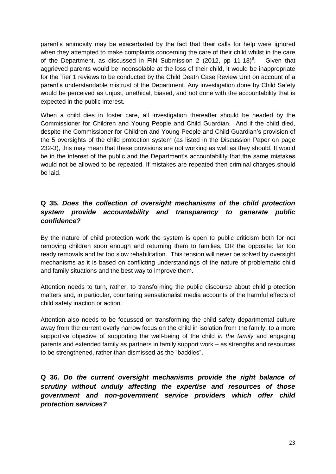parent's animosity may be exacerbated by the fact that their calls for help were ignored when they attempted to make complaints concerning the care of their child whilst in the care of the Department, as discussed in FIN Submission 2 (2012, pp 11-13) $^8$ . . Given that aggrieved parents would be inconsolable at the loss of their child, it would be inappropriate for the Tier 1 reviews to be conducted by the Child Death Case Review Unit on account of a parent's understandable mistrust of the Department. Any investigation done by Child Safety would be perceived as unjust, unethical, biased, and not done with the accountability that is expected in the public interest.

When a child dies in foster care, all investigation thereafter should be headed by the Commissioner for Children and Young People and Child Guardian. And if the child died, despite the Commissioner for Children and Young People and Child Guardian's provision of the 5 oversights of the child protection system (as listed in the Discussion Paper on page 232-3), this may mean that these provisions are not working as well as they should. It would be in the interest of the public and the Department's accountability that the same mistakes would not be allowed to be repeated. If mistakes are repeated then criminal charges should be laid.

## **Q 35.** *Does the collection of oversight mechanisms of the child protection system provide accountability and transparency to generate public confidence?*

By the nature of child protection work the system is open to public criticism both for not removing children soon enough and returning them to families, OR the opposite: far too ready removals and far too slow rehabilitation. This tension will never be solved by oversight mechanisms as it is based on conflicting understandings of the nature of problematic child and family situations and the best way to improve them.

Attention needs to turn, rather, to transforming the public discourse about child protection matters and, in particular, countering sensationalist media accounts of the harmful effects of child safety inaction or action.

Attention also needs to be focussed on transforming the child safety departmental culture away from the current overly narrow focus on the child in isolation from the family, to a more supportive objective of supporting the well-being of the child *in the family* and engaging parents and extended family as partners in family support work – as strengths and resources to be strengthened, rather than dismissed as the "baddies".

**Q 36.** *Do the current oversight mechanisms provide the right balance of scrutiny without unduly affecting the expertise and resources of those government and non-government service providers which offer child protection services?*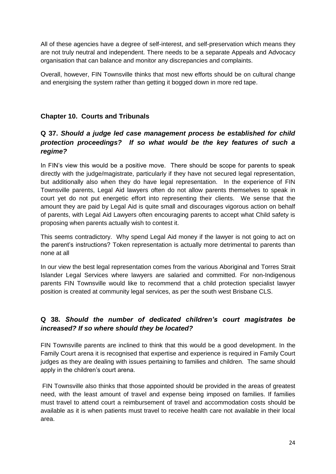All of these agencies have a degree of self-interest, and self-preservation which means they are not truly neutral and independent. There needs to be a separate Appeals and Advocacy organisation that can balance and monitor any discrepancies and complaints.

Overall, however, FIN Townsville thinks that most new efforts should be on cultural change and energising the system rather than getting it bogged down in more red tape.

### **Chapter 10. Courts and Tribunals**

# **Q 37.** *Should a judge led case management process be established for child protection proceedings? If so what would be the key features of such a regime?*

In FIN's view this would be a positive move. There should be scope for parents to speak directly with the judge/magistrate, particularly if they have not secured legal representation, but additionally also when they do have legal representation. In the experience of FIN Townsville parents, Legal Aid lawyers often do not allow parents themselves to speak in court yet do not put energetic effort into representing their clients. We sense that the amount they are paid by Legal Aid is quite small and discourages vigorous action on behalf of parents, with Legal Aid Lawyers often encouraging parents to accept what Child safety is proposing when parents actually wish to contest it.

This seems contradictory. Why spend Legal Aid money if the lawyer is not going to act on the parent's instructions? Token representation is actually more detrimental to parents than none at all

In our view the best legal representation comes from the various Aboriginal and Torres Strait Islander Legal Services where lawyers are salaried and committed. For non-Indigenous parents FIN Townsville would like to recommend that a child protection specialist lawyer position is created at community legal services, as per the south west Brisbane CLS.

# **Q 38.** *Should the number of dedicated children's court magistrates be increased? If so where should they be located?*

FIN Townsville parents are inclined to think that this would be a good development. In the Family Court arena it is recognised that expertise and experience is required in Family Court judges as they are dealing with issues pertaining to families and children. The same should apply in the children's court arena.

FIN Townsville also thinks that those appointed should be provided in the areas of greatest need, with the least amount of travel and expense being imposed on families. If families must travel to attend court a reimbursement of travel and accommodation costs should be available as it is when patients must travel to receive health care not available in their local area.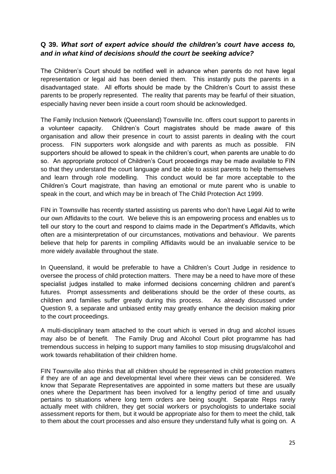#### **Q 39.** *What sort of expert advice should the children's court have access to, and in what kind of decisions should the court be seeking advice?*

The Children's Court should be notified well in advance when parents do not have legal representation or legal aid has been denied them. This instantly puts the parents in a disadvantaged state. All efforts should be made by the Children's Court to assist these parents to be properly represented. The reality that parents may be fearful of their situation, especially having never been inside a court room should be acknowledged.

The Family Inclusion Network (Queensland) Townsville Inc. offers court support to parents in a volunteer capacity. Children's Court magistrates should be made aware of this organisation and allow their presence in court to assist parents in dealing with the court process. FIN supporters work alongside and with parents as much as possible. FIN supporters should be allowed to speak in the children's court, when parents are unable to do so. An appropriate protocol of Children's Court proceedings may be made available to FIN so that they understand the court language and be able to assist parents to help themselves and learn through role modelling. This conduct would be far more acceptable to the Children's Court magistrate, than having an emotional or mute parent who is unable to speak in the court, and which may be in breach of The Child Protection Act 1999.

FIN in Townsville has recently started assisting us parents who don't have Legal Aid to write our own Affidavits to the court. We believe this is an empowering process and enables us to tell our story to the court and respond to claims made in the Department's Affidavits, which often are a misinterpretation of our circumstances, motivations and behaviour. We parents believe that help for parents in compiling Affidavits would be an invaluable service to be more widely available throughout the state.

In Queensland, it would be preferable to have a Children's Court Judge in residence to oversee the process of child protection matters. There may be a need to have more of these specialist judges installed to make informed decisions concerning children and parent's futures. Prompt assessments and deliberations should be the order of these courts, as children and families suffer greatly during this process. As already discussed under Question 9, a separate and unbiased entity may greatly enhance the decision making prior to the court proceedings.

A multi-disciplinary team attached to the court which is versed in drug and alcohol issues may also be of benefit. The Family Drug and Alcohol Court pilot programme has had tremendous success in helping to support many families to stop misusing drugs/alcohol and work towards rehabilitation of their children home

FIN Townsville also thinks that all children should be represented in child protection matters if they are of an age and developmental level where their views can be considered. We know that Separate Representatives are appointed in some matters but these are usually ones where the Department has been involved for a lengthy period of time and usually pertains to situations where long term orders are being sought. Separate Reps rarely actually meet with children, they get social workers or psychologists to undertake social assessment reports for them, but it would be appropriate also for them to meet the child, talk to them about the court processes and also ensure they understand fully what is going on. A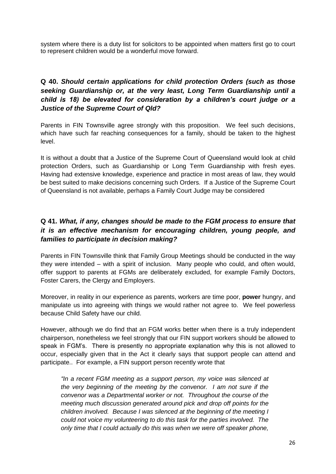system where there is a duty list for solicitors to be appointed when matters first go to court to represent children would be a wonderful move forward.

## **Q 40.** *Should certain applications for child protection Orders (such as those seeking Guardianship or, at the very least, Long Term Guardianship until a child is 18) be elevated for consideration by a children's court judge or a Justice of the Supreme Court of Qld?*

Parents in FIN Townsville agree strongly with this proposition. We feel such decisions, which have such far reaching consequences for a family, should be taken to the highest level.

It is without a doubt that a Justice of the Supreme Court of Queensland would look at child protection Orders, such as Guardianship or Long Term Guardianship with fresh eyes. Having had extensive knowledge, experience and practice in most areas of law, they would be best suited to make decisions concerning such Orders. If a Justice of the Supreme Court of Queensland is not available, perhaps a Family Court Judge may be considered

## **Q 41.** *What, if any, changes should be made to the FGM process to ensure that it is an effective mechanism for encouraging children, young people, and families to participate in decision making?*

Parents in FIN Townsville think that Family Group Meetings should be conducted in the way they were intended – with a spirit of inclusion. Many people who could, and often would, offer support to parents at FGMs are deliberately excluded, for example Family Doctors, Foster Carers, the Clergy and Employers.

Moreover, in reality in our experience as parents, workers are time poor, **power** hungry, and manipulate us into agreeing with things we would rather not agree to. We feel powerless because Child Safety have our child.

However, although we do find that an FGM works better when there is a truly independent chairperson, nonetheless we feel strongly that our FIN support workers should be allowed to speak in FGM's. There is presently no appropriate explanation why this is not allowed to occur, especially given that in the Act it clearly says that support people can attend and participate.. For example, a FIN support person recently wrote that

*"In a recent FGM meeting as a support person, my voice was silenced at the very beginning of the meeting by the convenor. I am not sure if the convenor was a Departmental worker or not. Throughout the course of the meeting much discussion generated around pick and drop off points for the children involved. Because I was silenced at the beginning of the meeting I could not voice my volunteering to do this task for the parties involved. The only time that I could actually do this was when we were off speaker phone,*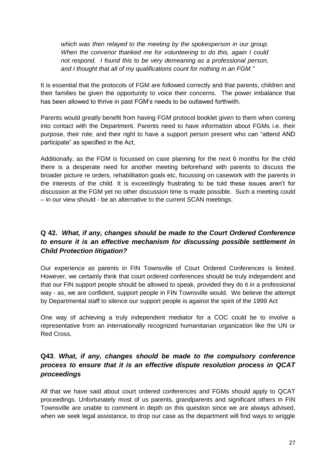*which was then relayed to the meeting by the spokesperson in our group. When the convenor thanked me for volunteering to do this, again I could not respond. I found this to be very demeaning as a professional person, and I thought that all of my qualifications count for nothing in an FGM."*

It is essential that the protocols of FGM are followed correctly and that parents, children and their families be given the opportunity to voice their concerns. The power imbalance that has been allowed to thrive in past FGM's needs to be outlawed forthwith.

Parents would greatly benefit from having FGM protocol booklet given to them when coming into contact with the Department. Parents need to have information about FGMs i.e. their purpose, their role; and their right to have a support person present who can "attend AND participate" as specified in the Act,

Additionally, as the FGM is focussed on case planning for the next 6 months for the child there is a desperate need for another meeting beforehand with parents to discuss the broader picture re orders, rehabilitation goals etc, focussing on casework with the parents in the interests of the child. It is exceedingly frustrating to be told these issues aren't for discussion at the FGM yet no other discussion time is made possible. Such a meeting could – in our view should - be an alternative to the current SCAN meetings.

# **Q 42.** *What, if any, changes should be made to the Court Ordered Conference to ensure it is an effective mechanism for discussing possible settlement in Child Protection litigation?*

Our experience as parents in FIN Townsville of Court Ordered Conferences is limited. However, we certainly think that court ordered conferences should be truly independent and that our FIN support people should be allowed to speak, provided they do it in a professional way - as, we are confident, support people in FIN Townsville would. We believe the attempt by Departmental staff to silence our support people is against the spirit of the 1999 Act

One way of achieving a truly independent mediator for a COC could be to involve a representative from an internationally recognized humanitarian organization like the UN or Red Cross.

# **Q43**. *What, if any, changes should be made to the compulsory conference process to ensure that it is an effective dispute resolution process in QCAT proceedings*

All that we have said about court ordered conferences and FGMs should apply to QCAT proceedings. Unfortunately most of us parents, grandparents and significant others in FIN Townsville are unable to comment in depth on this question since we are always advised, when we seek legal assistance, to drop our case as the department will find ways to wriggle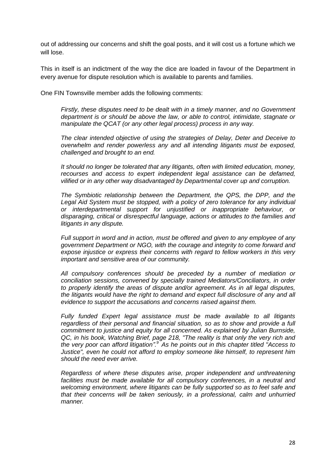out of addressing our concerns and shift the goal posts, and it will cost us a fortune which we will lose.

This in itself is an indictment of the way the dice are loaded in favour of the Department in every avenue for dispute resolution which is available to parents and families.

One FIN Townsville member adds the following comments:

*Firstly, these disputes need to be dealt with in a timely manner, and no Government department is or should be above the law, or able to control, intimidate, stagnate or manipulate the QCAT (or any other legal process) process in any way.*

*The clear intended objective of using the strategies of Delay, Deter and Deceive to overwhelm and render powerless any and all intending litigants must be exposed, challenged and brought to an end.*

*It should no longer be tolerated that any litigants, often with limited education, money, recourses and access to expert independent legal assistance can be defamed, vilified or in any other way disadvantaged by Departmental cover up and corruption.*

*The Symbiotic relationship between the Department, the QPS, the DPP, and the*  Legal Aid System must be stopped, with a policy of zero tolerance for any individual *or interdepartmental support for unjustified or inappropriate behaviour, or disparaging, critical or disrespectful language, actions or attitudes to the families and litigants in any dispute.*

*Full support in word and in action, must be offered and given to any employee of any government Department or NGO, with the courage and integrity to come forward and expose injustice or express their concerns with regard to fellow workers in this very important and sensitive area of our community.*

*All compulsory conferences should be preceded by a number of mediation or conciliation sessions, convened by specially trained Mediators/Conciliators, in order to properly identify the areas of dispute and/or agreement. As in all legal disputes, the litigants would have the right to demand and expect full disclosure of any and all evidence to support the accusations and concerns raised against them.*

*Fully funded Expert legal assistance must be made available to all litigants regardless of their personal and financial situation, so as to show and provide a full commitment to justice and equity for all concerned. As explained by Julian Burnside, QC, in his book, Watching Brief, page 218, "The reality is that only the very rich and the very poor can afford litigation".<sup>9</sup>As he points out in this chapter titled "Access to Justice", even he could not afford to employ someone like himself, to represent him should the need ever arrive.*

*Regardless of where these disputes arise, proper independent and unthreatening facilities must be made available for all compulsory conferences, in a neutral and welcoming environment, where litigants can be fully supported so as to feel safe and that their concerns will be taken seriously, in a professional, calm and unhurried manner.*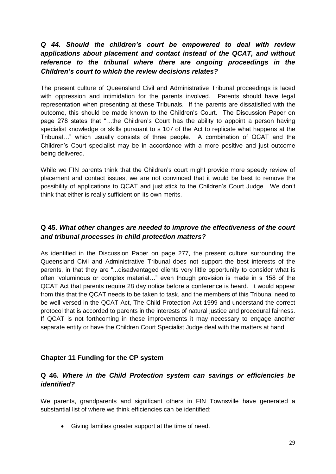# *Q 44. Should the children's court be empowered to deal with review applications about placement and contact instead of the QCAT, and without reference to the tribunal where there are ongoing proceedings in the Children's court to which the review decisions relates?*

The present culture of Queensland Civil and Administrative Tribunal proceedings is laced with oppression and intimidation for the parents involved. Parents should have legal representation when presenting at these Tribunals. If the parents are dissatisfied with the outcome, this should be made known to the Children's Court. The Discussion Paper on page 278 states that "…the Children's Court has the ability to appoint a person having specialist knowledge or skills pursuant to s 107 of the Act to replicate what happens at the Tribunal…" which usually consists of three people. A combination of QCAT and the Children's Court specialist may be in accordance with a more positive and just outcome being delivered.

While we FIN parents think that the Children's court might provide more speedy review of placement and contact issues, we are not convinced that it would be best to remove the possibility of applications to QCAT and just stick to the Children's Court Judge. We don't think that either is really sufficient on its own merits.

#### **Q 45**. *What other changes are needed to improve the effectiveness of the court and tribunal processes in child protection matters?*

As identified in the Discussion Paper on page 277, the present culture surrounding the Queensland Civil and Administrative Tribunal does not support the best interests of the parents, in that they are "...disadvantaged clients very little opportunity to consider what is often 'voluminous or complex material…" even though provision is made in s 158 of the QCAT Act that parents require 28 day notice before a conference is heard. It would appear from this that the QCAT needs to be taken to task, and the members of this Tribunal need to be well versed in the QCAT Act, The Child Protection Act 1999 and understand the correct protocol that is accorded to parents in the interests of natural justice and procedural fairness. If QCAT is not forthcoming in these improvements it may necessary to engage another separate entity or have the Children Court Specialist Judge deal with the matters at hand.

#### **Chapter 11 Funding for the CP system**

#### **Q 46.** *Where in the Child Protection system can savings or efficiencies be identified?*

We parents, grandparents and significant others in FIN Townsville have generated a substantial list of where we think efficiencies can be identified:

Giving families greater support at the time of need.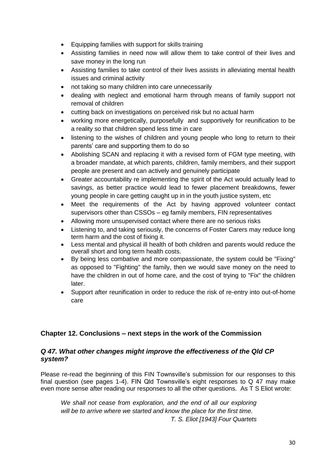- Equipping families with support for skills training
- Assisting families in need now will allow them to take control of their lives and save money in the long run
- Assisting families to take control of their lives assists in alleviating mental health issues and criminal activity
- not taking so many children into care unnecessarily
- dealing with neglect and emotional harm through means of family support not removal of children
- cutting back on investigations on perceived risk but no actual harm
- working more energetically, purposefully and supportively for reunification to be a reality so that children spend less time in care
- listening to the wishes of children and young people who long to return to their parents' care and supporting them to do so
- Abolishing SCAN and replacing it with a revised form of FGM type meeting, with a broader mandate, at which parents, children, family members, and their support people are present and can actively and genuinely participate
- Greater accountability re implementing the spirit of the Act would actually lead to savings, as better practice would lead to fewer placement breakdowns, fewer young people in care getting caught up in in the youth justice system, etc
- Meet the requirements of the Act by having approved volunteer contact supervisors other than CSSOs – eg family members, FIN representatives
- Allowing more unsupervised contact where there are no serious risks
- Listening to, and taking seriously, the concerns of Foster Carers may reduce long term harm and the cost of fixing it.
- Less mental and physical ill health of both children and parents would reduce the overall short and long term health costs.
- By being less combative and more compassionate, the system could be "Fixing" as opposed to "Fighting" the family, then we would save money on the need to have the children in out of home care, and the cost of trying to "Fix" the children later.
- Support after reunification in order to reduce the risk of re-entry into out-of-home care

#### **Chapter 12. Conclusions – next steps in the work of the Commission**

#### *Q 47. What other changes might improve the effectiveness of the Qld CP system?*

Please re-read the beginning of this FIN Townsville's submission for our responses to this final question (see pages 1-4). FIN Qld Townsville's eight responses to Q 47 may make even more sense after reading our responses to all the other questions. As T S Eliot wrote:

*We shall not cease from exploration, and the end of all our exploring will be to arrive where we started and know the place for the first time. T. S. Eliot [1943] Four Quartets*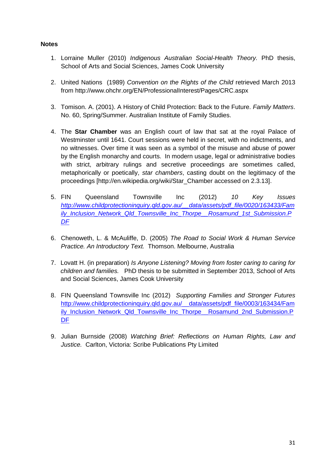#### **Notes**

- 1. Lorraine Muller (2010) *Indigenous Australian Social-Health Theory.* PhD thesis, School of Arts and Social Sciences, James Cook University
- 2. United Nations (1989) *Convention on the Rights of the Child* retrieved March 2013 from http://www.ohchr.org/EN/ProfessionalInterest/Pages/CRC.aspx
- 3. Tomison. A. (2001). A History of Child Protection: Back to the Future. *Family Matters*. No. 60, Spring/Summer. Australian Institute of Family Studies.
- 4. The **Star Chamber** was an [English](http://en.wikipedia.org/wiki/Kingdom_of_England) [court of law](http://en.wikipedia.org/wiki/Court_of_law) that sat at the royal [Palace of](http://en.wikipedia.org/wiki/Palace_of_Westminster)  [Westminster](http://en.wikipedia.org/wiki/Palace_of_Westminster) until 1641. Court sessions were held in [secret,](http://en.wikipedia.org/wiki/Secret_trial) with no [indictments,](http://en.wikipedia.org/wiki/Indictments) and no [witnesses.](http://en.wikipedia.org/wiki/Witness) Over time it was seen as a symbol of the misuse and abuse of power by the [English monarchy](http://en.wikipedia.org/wiki/English_monarchy) and courts. In modern usage, legal or administrative bodies with strict, arbitrary rulings and secretive proceedings are sometimes called, metaphorically or poetically, *star chambers*, casting doubt on the legitimacy of the proceedings [http://en.wikipedia.org/wiki/Star\_Chamber accessed on 2.3.13].
- 5. FIN Queensland Townsville Inc (2012) *10 Key Issues [http://www.childprotectioninquiry.qld.gov.au/\\_\\_data/assets/pdf\\_file/0020/163433/Fam](http://www.childprotectioninquiry.qld.gov.au/__data/assets/pdf_file/0020/163433/Family_Inclusion_Network_Qld_Townsville_Inc_Thorpe__Rosamund_1st_Submission.PDF) [ily\\_Inclusion\\_Network\\_Qld\\_Townsville\\_Inc\\_Thorpe\\_\\_Rosamund\\_1st\\_Submission.P](http://www.childprotectioninquiry.qld.gov.au/__data/assets/pdf_file/0020/163433/Family_Inclusion_Network_Qld_Townsville_Inc_Thorpe__Rosamund_1st_Submission.PDF) [DF](http://www.childprotectioninquiry.qld.gov.au/__data/assets/pdf_file/0020/163433/Family_Inclusion_Network_Qld_Townsville_Inc_Thorpe__Rosamund_1st_Submission.PDF)*
- 6. Chenoweth, L. & McAuliffe, D. (2005) *The Road to Social Work & Human Service Practice. An Introductory Text.* Thomson. Melbourne, Australia
- 7. Lovatt H. (in preparation) *Is Anyone Listening? Moving from foster caring to caring for children and families.* PhD thesis to be submitted in September 2013, School of Arts and Social Sciences, James Cook University
- 8. FIN Queensland Townsville Inc (2012) *Supporting Families and Stronger Futures* [http://www.childprotectioninquiry.qld.gov.au/\\_\\_data/assets/pdf\\_file/0003/163434/Fam](http://www.childprotectioninquiry.qld.gov.au/__data/assets/pdf_file/0003/163434/Family_Inclusion_Network_Qld_Townsville_Inc_Thorpe__Rosamund_2nd_Submission.PDF) [ily\\_Inclusion\\_Network\\_Qld\\_Townsville\\_Inc\\_Thorpe\\_\\_Rosamund\\_2nd\\_Submission.P](http://www.childprotectioninquiry.qld.gov.au/__data/assets/pdf_file/0003/163434/Family_Inclusion_Network_Qld_Townsville_Inc_Thorpe__Rosamund_2nd_Submission.PDF) [DF](http://www.childprotectioninquiry.qld.gov.au/__data/assets/pdf_file/0003/163434/Family_Inclusion_Network_Qld_Townsville_Inc_Thorpe__Rosamund_2nd_Submission.PDF)
- 9. Julian Burnside (2008) *Watching Brief: Reflections on Human Rights, Law and Justice.* Carlton, Victoria: Scribe Publications Pty Limited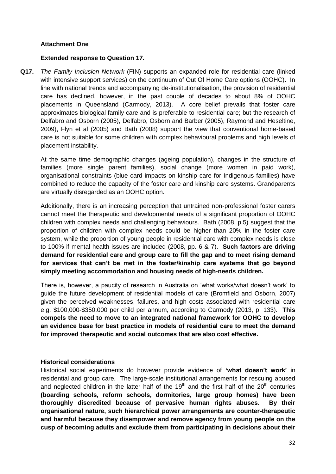#### **Attachment One**

#### **Extended response to Question 17.**

**Q17.** *The Family Inclusion Network* (FIN) supports an expanded role for residential care (linked with intensive support services) on the continuum of Out Of Home Care options (OOHC). In line with national trends and accompanying de-institutionalisation, the provision of residential care has declined, however, in the past couple of decades to about 8% of OOHC placements in Queensland (Carmody, 2013). A core belief prevails that foster care approximates biological family care and is preferable to residential care; but the research of Delfabro and Osborn (2005), Delfabro, Osborn and Barber (2005), Raymond and Heseltine, 2009), Flyn et al (2005) and Bath (2008) support the view that conventional home-based care is not suitable for some children with complex behavioural problems and high levels of placement instability.

At the same time demographic changes (ageing population), changes in the structure of families (more single parent families), social change (more women in paid work), organisational constraints (blue card impacts on kinship care for Indigenous families) have combined to reduce the capacity of the foster care and kinship care systems. Grandparents are virtually disregarded as an OOHC option.

Additionally, there is an increasing perception that untrained non-professional foster carers cannot meet the therapeutic and developmental needs of a significant proportion of OOHC children with complex needs and challenging behaviours. Bath (2008, p.5) suggest that the proportion of children with complex needs could be higher than 20% in the foster care system, while the proportion of young people in residential care with complex needs is close to 100% if mental health issues are included (2008, pp. 6 & 7). **Such factors are driving demand for residential care and group care to fill the gap and to meet rising demand for services that can't be met in the foster/kinship care systems that go beyond simply meeting accommodation and housing needs of high-needs children.** 

There is, however, a paucity of research in Australia on 'what works/what doesn't work' to guide the future development of residential models of care (Bromfield and Osborn, 2007) given the perceived weaknesses, failures, and high costs associated with residential care e.g. \$100,000-\$350.000 per child per annum, according to Carmody (2013, p. 133). **This compels the need to move to an integrated national framework for OOHC to develop an evidence base for best practice in models of residential care to meet the demand for improved therapeutic and social outcomes that are also cost effective.** 

#### **Historical considerations**

Historical social experiments do however provide evidence of **'what doesn't work'** in residential and group care. The large-scale institutional arrangements for rescuing abused and neglected children in the latter half of the  $19<sup>th</sup>$  and the first half of the  $20<sup>th</sup>$  centuries **(boarding schools, reform schools, dormitories, large group homes) have been thoroughly discredited because of pervasive human rights abuses. By their organisational nature, such hierarchical power arrangements are counter-therapeutic and harmful because they disempower and remove agency from young people on the cusp of becoming adults and exclude them from participating in decisions about their**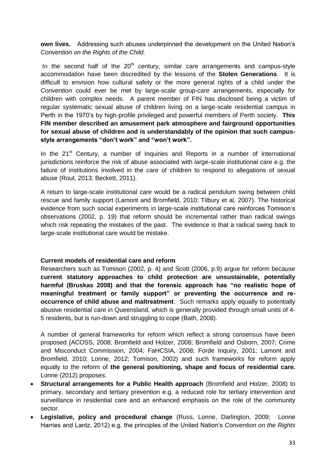**own lives.** Addressing such abuses underpinned the development on the United Nation's *Convention on the Rights of the Child.*

In the second half of the  $20<sup>th</sup>$  century, similar care arrangements and campus-style accommodation have been discredited by the lessons of the **Stolen Generations**. It is difficult to envision how cultural safety or the more general rights of a child under the *Convention* could ever be met by large-scale group-care arrangements, especially for children with complex needs. A parent member of FIN has disclosed being a victim of regular systematic sexual abuse of children living on a large-scale residential campus in Perth in the 1970's by high-profile privileged and powerful members of Perth society. **This FIN member described an amusement park atmosphere and fairground opportunities for sexual abuse of children and is understandably of the opinion that such campusstyle arrangements "don't work" and "won't work".**

In the  $21<sup>st</sup>$  Century, a number of Inquiries and Reports in a number of international jurisdictions reinforce the risk of abuse associated with large-scale institutional care e.g. the failure of institutions involved in the care of children to respond to allegations of sexual abuse (Rout, 2013; Beckett, 2011).

A return to large-scale institutional care would be a radical pendulum swing between child rescue and family support (Lamont and Bromfield, 2010; Tilbury et al, 2007). The historical evidence from such social experiments in large-scale institutional care reinforces Tomison's observations (2002, p. 19) that reform should be incremental rather than radical swings which risk repeating the mistakes of the past. The evidence is that a radical swing back to large-scale institutional care would be mistake.

#### **Current models of residential care and reform**

Researchers such as Tomison (2002, p. 4) and Scott (2006, p.9) argue for reform because **current statutory approaches to child protection are unsustainable, potentially harmful (Bruskas 2008) and that the forensic approach has "no realistic hope of meaningful treatment or family support" or preventing the occurrence and reoccurrence of child abuse and maltreatment**. Such remarks apply equally to potentially abusive residential care in Queensland, which is generally provided through small units of 4- 5 residents, but is run-down and struggling to cope (Bath, 2008).

A number of general frameworks for reform which reflect a strong consensus have been proposed (ACOSS, 2008; Bromfield and Holzer, 2008; Bromfield and Osborn, 2007; Crime and Misconduct Commission, 2004; FaHCSIA, 2008; Forde Inquiry, 2001; Lamont and Bromfield, 2010; Lonne, 2012; Tomison, 2002) and such frameworks for reform apply equally to the reform of **the general positioning, shape and focus of residential care.** Lonne (2012) proposes:

- **Structural arrangements for a Public Health approach** (Bromfield and Holzer, 2008) to primary, secondary and tertiary prevention e.g. a reduced role for tertiary intervention and surveillance in residential care and an enhanced emphasis on the role of the community sector.
- **Legislative, policy and procedural change** (Russ, Lonne, Darlington, 2009; Lonne Harries and Lantz, 2012) e.g. the principles of the United Nation's *Convention on the Rights*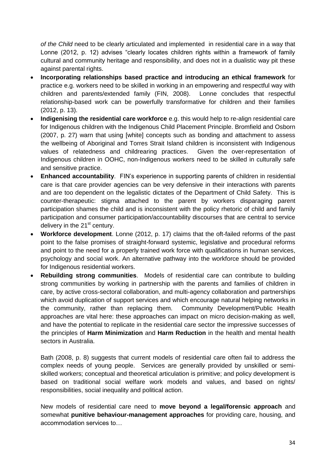*of the Child* need to be clearly articulated and implemented in residential care in a way that Lonne (2012, p. 12) advises "clearly locates children rights within a framework of family cultural and community heritage and responsibility, and does not in a dualistic way pit these against parental rights.

- **Incorporating relationships based practice and introducing an ethical framework** for practice e.g. workers need to be skilled in working in an empowering and respectful way with children and parents/extended family (FIN, 2008). Lonne concludes that respectful relationship-based work can be powerfully transformative for children and their families (2012, p. 13).
- **Indigenising the residential care workforce** e.g. this would help to re-align residential care for Indigenous children with the Indigenous Child Placement Principle. Bromfield and Osborn (2007, p. 27) warn that using [white] concepts such as bonding and attachment to assess the wellbeing of Aboriginal and Torres Strait Island children is inconsistent with Indigenous values of relatedness and childrearing practices. Given the over-representation of Indigenous children in OOHC, non-Indigenous workers need to be skilled in culturally safe and sensitive practice.
- **Enhanced accountability**. FIN's experience in supporting parents of children in residential care is that care provider agencies can be very defensive in their interactions with parents and are too dependent on the legalistic dictates of the Department of Child Safety. This is counter-therapeutic: stigma attached to the parent by workers disparaging parent participation shames the child and is inconsistent with the policy rhetoric of child and family participation and consumer participation/accountability discourses that are central to service delivery in the  $21<sup>st</sup>$  century.
- **Workforce development**. Lonne (2012, p. 17) claims that the oft-failed reforms of the past point to the false promises of straight-forward systemic, legislative and procedural reforms and point to the need for a properly trained work force with qualifications in human services, psychology and social work. An alternative pathway into the workforce should be provided for Indigenous residential workers.
- **Rebuilding strong communities**. Models of residential care can contribute to building strong communities by working in partnership with the parents and families of children in care, by active cross-sectoral collaboration, and multi-agency collaboration and partnerships which avoid duplication of support services and which encourage natural helping networks in the community, rather than replacing them. Community Development/Public Health approaches are vital here: these approaches can impact on micro decision-making as well, and have the potential to replicate in the residential care sector the impressive successes of the principles of **Harm Minimization** and **Harm Reduction** in the health and mental health sectors in Australia.

Bath (2008, p. 8) suggests that current models of residential care often fail to address the complex needs of young people. Services are generally provided by unskilled or semiskilled workers; conceptual and theoretical articulation is primitive; and policy development is based on traditional social welfare work models and values, and based on rights/ responsibilities, social inequality and political action.

New models of residential care need to **move beyond a legal/forensic approach** and somewhat **punitive behaviour-management approaches** for providing care, housing, and accommodation services to…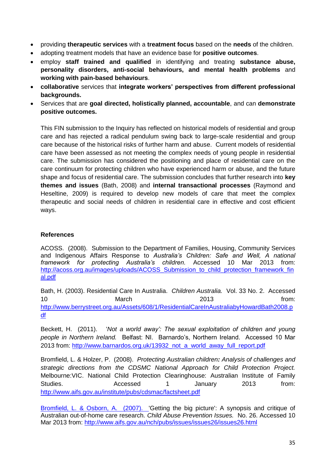- providing **therapeutic services** with a **treatment focus** based on the **needs** of the children.
- adopting treatment models that have an evidence base for **positive outcomes**.
- employ **staff trained and qualified** in identifying and treating **substance abuse, personality disorders, anti-social behaviours, and mental health problems** and **working with pain-based behaviours**.
- **collaborative** services that **integrate workers' perspectives from different professional backgrounds.**
- Services that are **goal directed, holistically planned, accountable**, and can **demonstrate positive outcomes.**

This FIN submission to the Inquiry has reflected on historical models of residential and group care and has rejected a radical pendulum swing back to large-scale residential and group care because of the historical risks of further harm and abuse. Current models of residential care have been assessed as not meeting the complex needs of young people in residential care. The submission has considered the positioning and place of residential care on the care continuum for protecting children who have experienced harm or abuse, and the future shape and focus of residential care. The submission concludes that further research into **key themes and issues** (Bath, 2008) and **internal transactional processes** (Raymond and Heseltine, 2009) is required to develop new models of care that meet the complex therapeutic and social needs of children in residential care in effective and cost efficient ways.

#### **References**

ACOSS. (2008). Submission to the Department of Families, Housing, Community Services and Indigenous Affairs Response to *Australia's Children: Safe and Well, A national framework for protecting Australia's children.* Accessed 10 Mar 2013 from: [http://acoss.org.au/images/uploads/ACOSS\\_Submission\\_to\\_child\\_protection\\_framework\\_fin](http://acoss.org.au/images/uploads/ACOSS_Submission_to_child_protection_framework_final.pdf) [al.pdf](http://acoss.org.au/images/uploads/ACOSS_Submission_to_child_protection_framework_final.pdf)

Bath, H. (2003). Residential Care In Australia. *Children Australia.* Vol. 33 No. 2. Accessed 10 March March 2013 from: [http://www.berrystreet.org.au/Assets/608/1/ResidentialCareInAustraliabyHowardBath2008.p](http://www.berrystreet.org.au/Assets/608/1/ResidentialCareInAustraliabyHowardBath2008.pdf) [df](http://www.berrystreet.org.au/Assets/608/1/ResidentialCareInAustraliabyHowardBath2008.pdf)

Beckett, H. (2011). '*Not a world away': The sexual exploitation of children and young people in Northern Ireland.* Belfast: NI. Barnardo's, Northern Ireland. Accessed 10 Mar 2013 from: [http://www.barnardos.org.uk/13932\\_not\\_a\\_world\\_away\\_full\\_report.pdf](http://www.barnardos.org.uk/13932_not_a_world_away_full_report.pdf)

Bromfield, L. & Holzer, P. (2008). *Protecting Australian children: Analysis of challenges and strategic directions from the CDSMC National Approach for Child Protection Project.*  Melbourne:VIC. National Child Protection Clearinghouse: Australian Institute of Family Studies. Accessed 1 January 2013 from: <http://www.aifs.gov.au/institute/pubs/cdsmac/factsheet.pdf>

Bromfield, L. & Osborn, A. (2007). 'Getting the big picture': A synopsis and critique of Australian out-of-home care research. *Child Abuse Prevention Issues.* No. 26. Accessed 10 Mar 2013 from:<http://www.aifs.gov.au/nch/pubs/issues/issues26/issues26.html>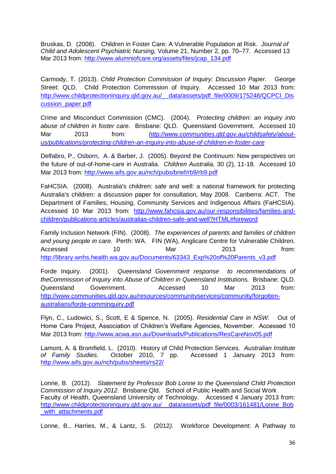Bruskas, D. (2008). Children in Foster Care: A Vulnerable Population at Risk. *Journal of Child and Adolescent Psychiatric Nursing,* Volume 21, Number 2, pp. 70–77. Accessed 13 Mar 2013 from: [http://www.alumniofcare.org/assets/files/jcap\\_134.pdf](http://www.alumniofcare.org/assets/files/jcap_134.pdf)

Carmody, T. (2013). *Child Protection Commission of Inquiry: Discussion Paper.* George Street: QLD. Child Protection Commission of Inquiry. Accessed 10 Mar 2013 from: http://www.childprotectioninquiry.qld.gov.au/ data/assets/pdf\_file/0009/175248/QCPCI\_Dis [cussion\\_paper.pdf](http://www.childprotectioninquiry.qld.gov.au/__data/assets/pdf_file/0009/175248/QCPCI_Discussion_paper.pdf)

Crime and Misconduct Commission (CMC). (2004). *[Protecting children: an inquiry into](http://www.cmc.qld.gov.au/research-and-publications/publications/legislatiion-review/protecting-children-an-inquiry-into-abuse-of-children-in-foster-care)  [abuse of children in foster care.](http://www.cmc.qld.gov.au/research-and-publications/publications/legislatiion-review/protecting-children-an-inquiry-into-abuse-of-children-in-foster-care)* Brisbane: QLD*.* Queensland Government. Accessed 10 Mar 2013 from*: [http://www.communities.qld.gov.au/childsafety/about](http://www.communities.qld.gov.au/childsafety/about-us/publications/protecting-children-an-inquiry-into-abuse-of-children-in-foster-care)[us/publications/protecting-children-an-inquiry-into-abuse-of-children-in-foster-care](http://www.communities.qld.gov.au/childsafety/about-us/publications/protecting-children-an-inquiry-into-abuse-of-children-in-foster-care)*

Delfabro, P., Osborn, A. & Barber, J. (2005). Beyond the Continuum: New perspectives on the future of out-of-home-care in Australia. *Children Australia,* 30 (2), 11-18. Accessed 10 Mar 2013 from:<http://www.aifs.gov.au/nch/pubs/brief/rb9/rb9.pdf>

FaHCSIA. (2008). Australia's children: safe and well: a national framework for protecting Australia's children: a discussion paper for consultation, May 2008. Canberra: ACT. The Department of Families, Housing, Community Services and Indigenous Affairs (FaHCSIA). Accessed 10 Mar 2013 from: [http://www.fahcsia.gov.au/our-responsibilities/families-and](http://www.fahcsia.gov.au/our-responsibilities/families-and-children/publications-articles/australias-children-safe-and-well?HTML#foreword)[children/publications-articles/australias-children-safe-and-well?HTML#foreword](http://www.fahcsia.gov.au/our-responsibilities/families-and-children/publications-articles/australias-children-safe-and-well?HTML#foreword)

Family Inclusion Network (FIN). (2008). *The experiences of parents and families of children and young people in care.* Perth: WA. FIN (WA), Anglicare Centre for Vulnerable Children. Accessed 10 Mar 2013 from: [http://library.wnhs.health.wa.gov.au/Documents/63343\\_Exp%20of%20Parents\\_v3.pdf](http://library.wnhs.health.wa.gov.au/Documents/63343_Exp%20of%20Parents_v3.pdf)

Forde Inquiry. (2001). *Queensland Government response to recommendations of theCommission of Inquiry into Abuse of Children in Queensland Institutions.* Brisbane: QLD. Queensland Government. Accessed 10 Mar 2013 from: [http://www.communities.qld.gov.au/resources/communityservices/community/forgotten](http://www.communities.qld.gov.au/resources/communityservices/community/forgotten-australians/forde-comminquiry.pdf)[australians/forde-comminquiry.pdf](http://www.communities.qld.gov.au/resources/communityservices/community/forgotten-australians/forde-comminquiry.pdf)

Flyn, C., Ludowici, S., Scott, E & Spence, N. (2005). *Residential Care in NSW.* Out of Home Care Project, Association of Children's Welfare Agencies, November. Accessed 10 Mar 2013 from:<http://www.acwa.asn.au/Downloads/Publications/ResCareNov05.pdf>

Lamont, A. & Bromfield, L. (2010). History of Child Protection Services. *Australian Institute of Family Studies*. October 2010, 7 pp. Accessed 1 January 2013 from: <http://www.aifs.gov.au/nch/pubs/sheets/rs22/>

Lonne, B. (2012). *Statement by Professor Bob Lonne to the Queensland Child Protection Commission of Inquiry 2012.* Brisbane:Qld.School of Public Health and Social Work Faculty of Health, Queensland University of Technology. Accessed 4 January 2013 from: http://www.childprotectioninquiry.qld.gov.au/ data/assets/pdf\_file/0003/161481/Lonne\_Bob with attachments.pdf

Lonne, B., Harries, M., & Lantz, S. (2012*).* Workforce Development: A Pathway to